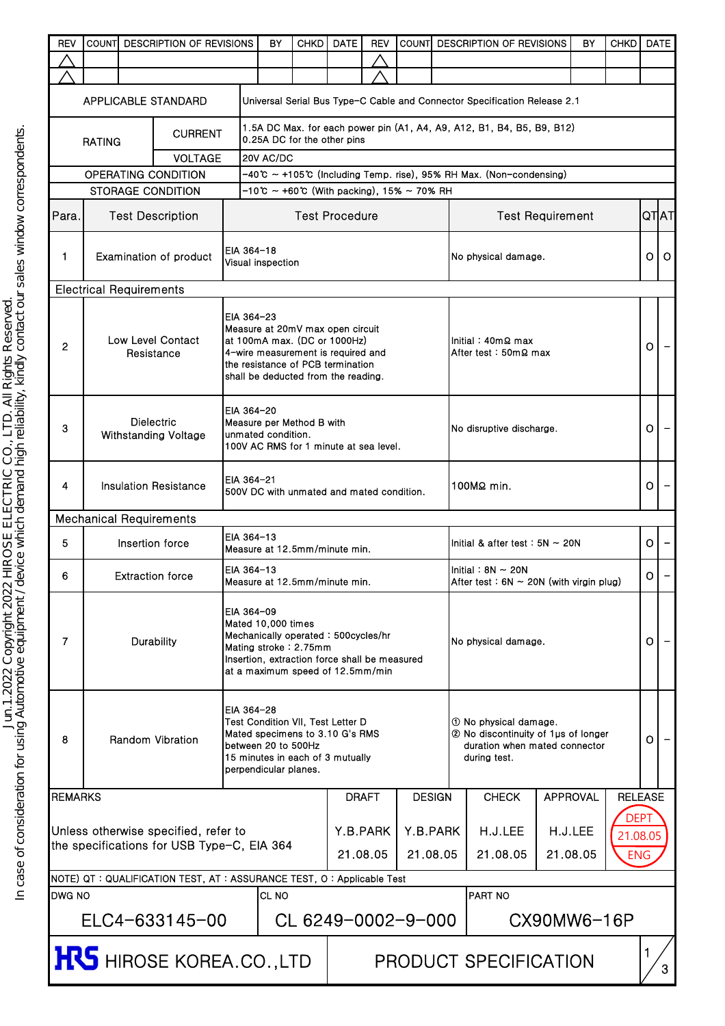| <b>REV</b>                                                                                       | <b>COUNTI</b><br><b>DESCRIPTION OF REVISIONS</b>                                                                                                                                           |  |                                                                         |            | BY                                                                                                                                                                                    | <b>CHKD</b>                                                                                                                                                                        | <b>DATE</b> | REV          | <b>COUNTI</b> |                     | <b>DESCRIPTION OF REVISIONS</b>                                                                                 |                     | BY              | <b>CHKD</b>    |                | <b>DATE</b> |
|--------------------------------------------------------------------------------------------------|--------------------------------------------------------------------------------------------------------------------------------------------------------------------------------------------|--|-------------------------------------------------------------------------|------------|---------------------------------------------------------------------------------------------------------------------------------------------------------------------------------------|------------------------------------------------------------------------------------------------------------------------------------------------------------------------------------|-------------|--------------|---------------|---------------------|-----------------------------------------------------------------------------------------------------------------|---------------------|-----------------|----------------|----------------|-------------|
|                                                                                                  |                                                                                                                                                                                            |  |                                                                         |            |                                                                                                                                                                                       |                                                                                                                                                                                    |             |              |               |                     |                                                                                                                 |                     |                 |                |                |             |
|                                                                                                  |                                                                                                                                                                                            |  |                                                                         |            |                                                                                                                                                                                       |                                                                                                                                                                                    |             |              |               |                     |                                                                                                                 |                     |                 |                |                |             |
| APPLICABLE STANDARD<br>Universal Serial Bus Type-C Cable and Connector Specification Release 2.1 |                                                                                                                                                                                            |  |                                                                         |            |                                                                                                                                                                                       |                                                                                                                                                                                    |             |              |               |                     |                                                                                                                 |                     |                 |                |                |             |
| <b>CURRENT</b>                                                                                   |                                                                                                                                                                                            |  |                                                                         |            |                                                                                                                                                                                       | 1.5A DC Max. for each power pin (A1, A4, A9, A12, B1, B4, B5, B9, B12)<br>0.25A DC for the other pins                                                                              |             |              |               |                     |                                                                                                                 |                     |                 |                |                |             |
| <b>RATING</b><br><b>VOLTAGE</b>                                                                  |                                                                                                                                                                                            |  |                                                                         |            | 20V AC/DC                                                                                                                                                                             |                                                                                                                                                                                    |             |              |               |                     |                                                                                                                 |                     |                 |                |                |             |
| OPERATING CONDITION                                                                              |                                                                                                                                                                                            |  |                                                                         |            |                                                                                                                                                                                       | -40℃ ~ +105℃ (Including Temp. rise), 95% RH Max. (Non-condensing)                                                                                                                  |             |              |               |                     |                                                                                                                 |                     |                 |                |                |             |
|                                                                                                  | $-10^{\circ}$ ~ +60 °C (With packing), 15% ~ 70% RH<br><b>STORAGE CONDITION</b>                                                                                                            |  |                                                                         |            |                                                                                                                                                                                       |                                                                                                                                                                                    |             |              |               |                     |                                                                                                                 |                     |                 |                |                |             |
| Para.                                                                                            | <b>Test Description</b>                                                                                                                                                                    |  |                                                                         |            | <b>Test Procedure</b>                                                                                                                                                                 |                                                                                                                                                                                    |             |              |               |                     | <b>Test Requirement</b>                                                                                         |                     |                 |                | <b>QTIAT</b>   |             |
| $\mathbf{1}$                                                                                     | Examination of product                                                                                                                                                                     |  |                                                                         |            | EIA 364-18<br>Visual inspection                                                                                                                                                       |                                                                                                                                                                                    |             |              |               |                     | No physical damage.                                                                                             |                     |                 |                | οI             | $\circ$     |
|                                                                                                  |                                                                                                                                                                                            |  |                                                                         |            |                                                                                                                                                                                       |                                                                                                                                                                                    |             |              |               |                     |                                                                                                                 |                     |                 |                |                |             |
| <b>Electrical Requirements</b><br>Low Level Contact<br>$\overline{2}$<br>Resistance              |                                                                                                                                                                                            |  |                                                                         | EIA 364-23 |                                                                                                                                                                                       | Measure at 20mV max open circuit<br>at 100mA max. (DC or 1000Hz)<br>4-wire measurement is required and<br>the resistance of PCB termination<br>shall be deducted from the reading. |             |              |               |                     | Initial: $40m\Omega$ max<br>After test: 50mΩ max                                                                |                     |                 |                | $\circ$        |             |
| 3                                                                                                | <b>Dielectric</b><br>Withstanding Voltage                                                                                                                                                  |  |                                                                         |            | EIA 364-20<br>unmated condition.                                                                                                                                                      | Measure per Method B with<br>100V AC RMS for 1 minute at sea level.                                                                                                                |             |              |               |                     | No disruptive discharge.                                                                                        |                     |                 |                | $\overline{O}$ |             |
| 4                                                                                                |                                                                                                                                                                                            |  | <b>Insulation Resistance</b>                                            |            | EIA 364-21<br>500V DC with unmated and mated condition.                                                                                                                               |                                                                                                                                                                                    |             |              |               |                     | 100MΩ min.                                                                                                      |                     |                 |                | $\overline{O}$ |             |
|                                                                                                  |                                                                                                                                                                                            |  | <b>Mechanical Requirements</b>                                          |            |                                                                                                                                                                                       |                                                                                                                                                                                    |             |              |               |                     |                                                                                                                 |                     |                 |                |                |             |
| 5                                                                                                |                                                                                                                                                                                            |  | Insertion force                                                         |            | EIA 364-13<br>Measure at 12.5mm/minute min.                                                                                                                                           |                                                                                                                                                                                    |             |              |               |                     | Initial & after test: $5N \sim 20N$                                                                             |                     |                 |                | ΟI             |             |
| 6                                                                                                |                                                                                                                                                                                            |  | <b>Extraction force</b>                                                 |            | EIA 364-13<br>Measure at 12.5mm/minute min.                                                                                                                                           |                                                                                                                                                                                    |             |              |               |                     | Initial: $8N \sim 20N$<br>After test : $6N \sim 20N$ (with virgin plug)                                         |                     |                 |                | $\circ$        |             |
| $\overline{7}$                                                                                   | Durability                                                                                                                                                                                 |  |                                                                         |            | EIA 364-09<br>Mated 10,000 times<br>Mechanically operated: 500cycles/hr<br>Mating stroke: 2.75mm<br>Insertion, extraction force shall be measured<br>at a maximum speed of 12.5mm/min |                                                                                                                                                                                    |             |              |               |                     | No physical damage.                                                                                             |                     |                 |                | 0              |             |
| 8                                                                                                | EIA 364-28<br>Test Condition VII, Test Letter D<br>Mated specimens to 3.10 G's RMS<br>Random Vibration<br>between 20 to 500Hz<br>15 minutes in each of 3 mutually<br>perpendicular planes. |  |                                                                         |            |                                                                                                                                                                                       |                                                                                                                                                                                    |             |              |               |                     | 10 No physical damage.<br>2 No discontinuity of 1 µs of longer<br>duration when mated connector<br>during test. |                     |                 |                | O              |             |
| <b>REMARKS</b>                                                                                   |                                                                                                                                                                                            |  |                                                                         |            |                                                                                                                                                                                       |                                                                                                                                                                                    |             | <b>DRAFT</b> | <b>DESIGN</b> |                     | <b>CHECK</b>                                                                                                    |                     | <b>APPROVAL</b> | <b>RELEASE</b> |                |             |
|                                                                                                  |                                                                                                                                                                                            |  |                                                                         |            |                                                                                                                                                                                       |                                                                                                                                                                                    |             |              |               |                     |                                                                                                                 |                     |                 | <b>DEP1</b>    |                |             |
| Unless otherwise specified, refer to<br>the specifications for USB Type-C, EIA 364               |                                                                                                                                                                                            |  |                                                                         |            |                                                                                                                                                                                       |                                                                                                                                                                                    | Y.B.PARK    | Y.B.PARK     |               | H.J.LEE<br>21.08.05 |                                                                                                                 | H.J.LEE<br>21.08.05 | 21.08.05        |                |                |             |
| 21.08.05<br>21.08.05                                                                             |                                                                                                                                                                                            |  |                                                                         |            |                                                                                                                                                                                       |                                                                                                                                                                                    |             |              |               |                     | <b>ENG</b>                                                                                                      |                     |                 |                |                |             |
|                                                                                                  |                                                                                                                                                                                            |  | NOTE) QT : QUALIFICATION TEST, AT : ASSURANCE TEST, O : Applicable Test |            |                                                                                                                                                                                       |                                                                                                                                                                                    |             |              |               |                     |                                                                                                                 |                     |                 |                |                |             |
| idwg No<br>CL NO                                                                                 |                                                                                                                                                                                            |  |                                                                         |            |                                                                                                                                                                                       |                                                                                                                                                                                    |             |              | PART NO       |                     |                                                                                                                 |                     |                 |                |                |             |
| ELC4-633145-00                                                                                   |                                                                                                                                                                                            |  |                                                                         |            |                                                                                                                                                                                       | CL 6249-0002-9-000<br>CX90MW6-16P                                                                                                                                                  |             |              |               |                     |                                                                                                                 |                     |                 |                |                |             |
| <b>HUS</b> HIROSE KOREA.CO.,LTD                                                                  |                                                                                                                                                                                            |  |                                                                         |            | PRODUCT SPECIFICATION<br>3                                                                                                                                                            |                                                                                                                                                                                    |             |              |               |                     |                                                                                                                 |                     |                 |                |                |             |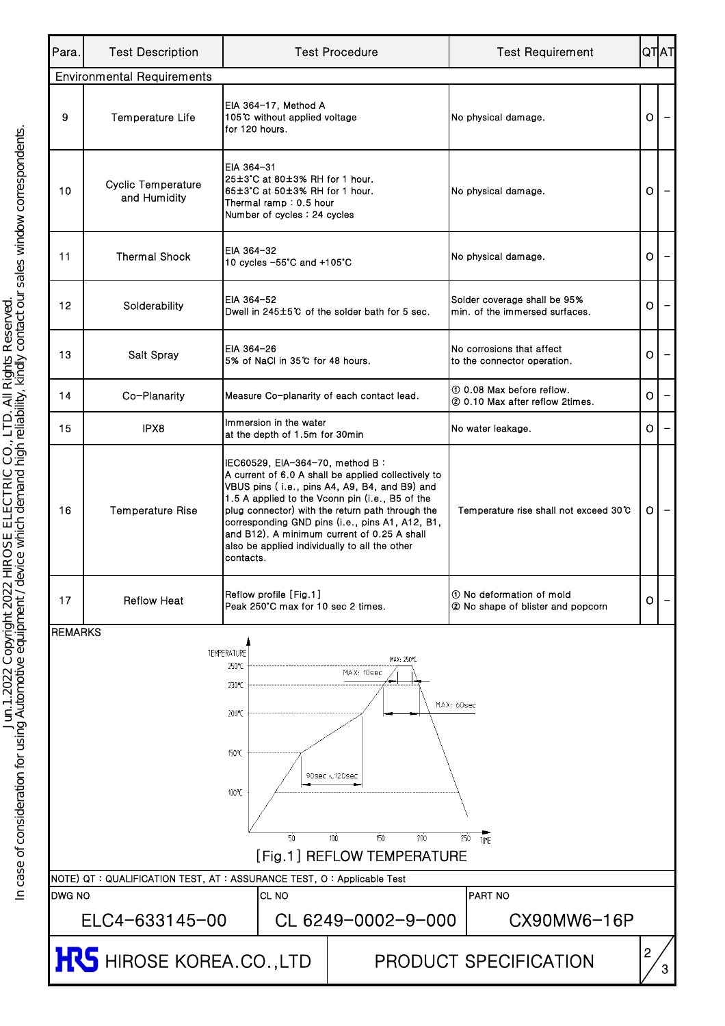| Para.          | <b>Test Description</b>                                                                                                                                                                                                                                                                                                                                                                                       |                                                                                                                                              | <b>Test Procedure</b>                                                                                                                                                                                                                                          | <b>Test Requirement</b>                                        |         | <b>QTAT</b> |  |  |  |  |
|----------------|---------------------------------------------------------------------------------------------------------------------------------------------------------------------------------------------------------------------------------------------------------------------------------------------------------------------------------------------------------------------------------------------------------------|----------------------------------------------------------------------------------------------------------------------------------------------|----------------------------------------------------------------------------------------------------------------------------------------------------------------------------------------------------------------------------------------------------------------|----------------------------------------------------------------|---------|-------------|--|--|--|--|
|                | <b>Environmental Requirements</b>                                                                                                                                                                                                                                                                                                                                                                             |                                                                                                                                              |                                                                                                                                                                                                                                                                |                                                                |         |             |  |  |  |  |
| 9              | <b>Temperature Life</b>                                                                                                                                                                                                                                                                                                                                                                                       | EIA 364-17, Method A<br>105℃ without applied voltage<br>for 120 hours.                                                                       |                                                                                                                                                                                                                                                                | No physical damage.                                            | $\circ$ |             |  |  |  |  |
| 10             | <b>Cyclic Temperature</b><br>and Humidity                                                                                                                                                                                                                                                                                                                                                                     | EIA 364-31<br>25±3°C at 80±3% RH for 1 hour.<br>65±3°C at 50±3% RH for 1 hour.<br>Thermal ramp : 0.5 hour<br>Number of cycles : 24 cycles    |                                                                                                                                                                                                                                                                | No physical damage.                                            | O       |             |  |  |  |  |
| 11             | <b>Thermal Shock</b>                                                                                                                                                                                                                                                                                                                                                                                          | EIA 364-32<br>10 cycles -55°C and +105°C                                                                                                     |                                                                                                                                                                                                                                                                | No physical damage.                                            | O       |             |  |  |  |  |
| 12             | Solderability                                                                                                                                                                                                                                                                                                                                                                                                 | EIA 364-52                                                                                                                                   | Dwell in 245±5℃ of the solder bath for 5 sec.                                                                                                                                                                                                                  | Solder coverage shall be 95%<br>min, of the immersed surfaces. | O       |             |  |  |  |  |
| 13             | Salt Spray                                                                                                                                                                                                                                                                                                                                                                                                    | EIA 364-26<br>5% of NaCl in 35℃ for 48 hours.                                                                                                |                                                                                                                                                                                                                                                                | No corrosions that affect<br>to the connector operation.       | 0       |             |  |  |  |  |
| 14             | Co-Planarity                                                                                                                                                                                                                                                                                                                                                                                                  | Measure Co-planarity of each contact lead.                                                                                                   |                                                                                                                                                                                                                                                                | 10 0.08 Max before reflow.<br>② 0.10 Max after reflow 2times.  | 0       |             |  |  |  |  |
| 15             | IPX8                                                                                                                                                                                                                                                                                                                                                                                                          | Immersion in the water<br>at the depth of 1.5m for 30min                                                                                     |                                                                                                                                                                                                                                                                | No water leakage.                                              | O.      |             |  |  |  |  |
| 16             | <b>Temperature Rise</b>                                                                                                                                                                                                                                                                                                                                                                                       | IEC60529, EIA-364-70, method B:<br>and B12). A minimum current of 0.25 A shall<br>also be applied individually to all the other<br>contacts. | A current of 6.0 A shall be applied collectively to<br>VBUS pins (i.e., pins A4, A9, B4, and B9) and<br>1.5 A applied to the Vconn pin (i.e., B5 of the<br>plug connector) with the return path through the<br>corresponding GND pins (i.e., pins A1, A12, B1, | Temperature rise shall not exceed 30 C                         |         |             |  |  |  |  |
| 17             | <b>Reflow Heat</b>                                                                                                                                                                                                                                                                                                                                                                                            | Reflow profile [Fig.1]<br>Peak 250°C max for 10 sec 2 times.                                                                                 |                                                                                                                                                                                                                                                                | 10 No deformation of mold<br>2 No shape of blister and popcorn | 0       |             |  |  |  |  |
| <b>REMARKS</b> |                                                                                                                                                                                                                                                                                                                                                                                                               |                                                                                                                                              |                                                                                                                                                                                                                                                                |                                                                |         |             |  |  |  |  |
|                | <b>TEMPERATURE</b><br>MAX: 250°C<br>250°C<br>MAX: 10sec<br>230°C<br>MAX: 60sec<br>200℃<br>150°C<br>90sec $\scriptstyle\land$ 120sec<br>100°C<br>50<br>100<br>150<br>200<br>250<br><b>TIME</b><br>[Fig.1] REFLOW TEMPERATURE<br>NOTE) QT : QUALIFICATION TEST, AT : ASSURANCE TEST, O : Applicable Test<br>DWG NO<br>CL <sub>NO</sub><br><b>PART NO</b><br>ELC4-633145-00<br>CL 6249-0002-9-000<br>CX90MW6-16P |                                                                                                                                              |                                                                                                                                                                                                                                                                |                                                                |         |             |  |  |  |  |
|                | 2<br><b>HRS</b> HIROSE KOREA.CO.,LTD<br><b>PRODUCT SPECIFICATION</b>                                                                                                                                                                                                                                                                                                                                          |                                                                                                                                              |                                                                                                                                                                                                                                                                |                                                                |         |             |  |  |  |  |
|                |                                                                                                                                                                                                                                                                                                                                                                                                               |                                                                                                                                              |                                                                                                                                                                                                                                                                |                                                                |         |             |  |  |  |  |

In case of consideration for using Automotive equipment / device which demand high reliability, kindly contact our sales window correspondents.<br>In case of consideration for using Automotive equipment / device which demand In case of consideration for using Automotive equipment / device which demand high reliability, kindly contact our sales window correspondents.Jun.1.2022 Copyright 2022 HIROSE ELECTRIC CO., LTD. All Rights Reserved.